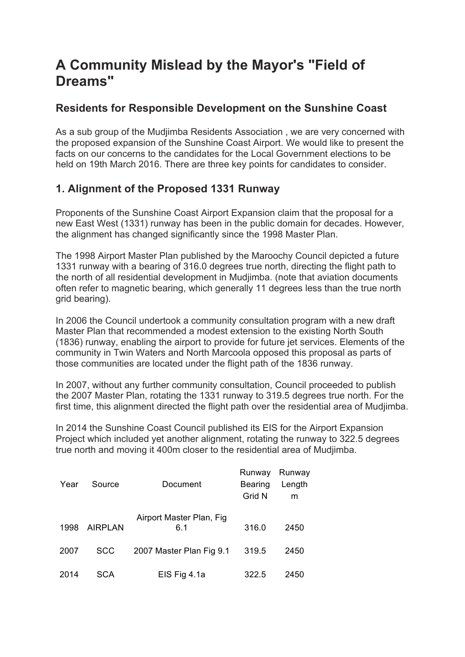# **A Community Mislead by the Mayor's "Field of Dreams"**

### **Residents for Responsible Development on the Sunshine Coast**

As a sub group of the Mudjimba Residents Association , we are very concerned with the proposed expansion of the Sunshine Coast Airport. We would like to present the facts on our concerns to the candidates for the Local Government elections to be held on 19th March 2016. There are three key points for candidates to consider.

## **1. Alignment of the Proposed 1331 Runway**

Proponents of the Sunshine Coast Airport Expansion claim that the proposal for a new East West (1331) runway has been in the public domain for decades. However, the alignment has changed significantly since the 1998 Master Plan.

The 1998 Airport Master Plan published by the Maroochy Council depicted a future 1331 runway with a bearing of 316.0 degrees true north, directing the flight path to the north of all residential development in Mudjimba. (note that aviation documents often refer to magnetic bearing, which generally 11 degrees less than the true north grid bearing).

In 2006 the Council undertook a community consultation program with a new draft Master Plan that recommended a modest extension to the existing North South (1836) runway, enabling the airport to provide for future jet services. Elements of the community in Twin Waters and North Marcoola opposed this proposal as parts of those communities are located under the flight path of the 1836 runway.

In 2007, without any further community consultation, Council proceeded to publish the 2007 Master Plan, rotating the 1331 runway to 319.5 degrees true north. For the first time, this alignment directed the flight path over the residential area of Mudjimba.

In 2014 the Sunshine Coast Council published its EIS for the Airport Expansion Project which included yet another alignment, rotating the runway to 322.5 degrees true north and moving it 400m closer to the residential area of Mudjimba.

| Year | Source         | Document                         | Runway<br><b>Bearing</b><br>Grid N | Runway<br>Length<br>m |
|------|----------------|----------------------------------|------------------------------------|-----------------------|
| 1998 | <b>AIRPLAN</b> | Airport Master Plan, Fig.<br>6.1 | 316.0                              | 2450                  |
| 2007 | SCC            | 2007 Master Plan Fig 9.1         | 319.5                              | 2450                  |
| 2014 | SCA            | EIS Fig 4.1a                     | 322.5                              | 2450                  |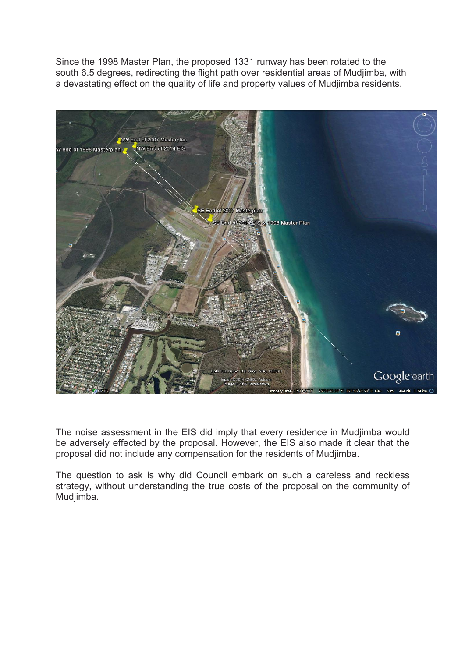Since the 1998 Master Plan, the proposed 1331 runway has been rotated to the south 6.5 degrees, redirecting the flight path over residential areas of Mudjimba, with a devastating effect on the quality of life and property values of Mudjimba residents.



The noise assessment in the EIS did imply that every residence in Mudjimba would be adversely effected by the proposal. However, the EIS also made it clear that the proposal did not include any compensation for the residents of Mudjimba.

The question to ask is why did Council embark on such a careless and reckless strategy, without understanding the true costs of the proposal on the community of Mudjimba.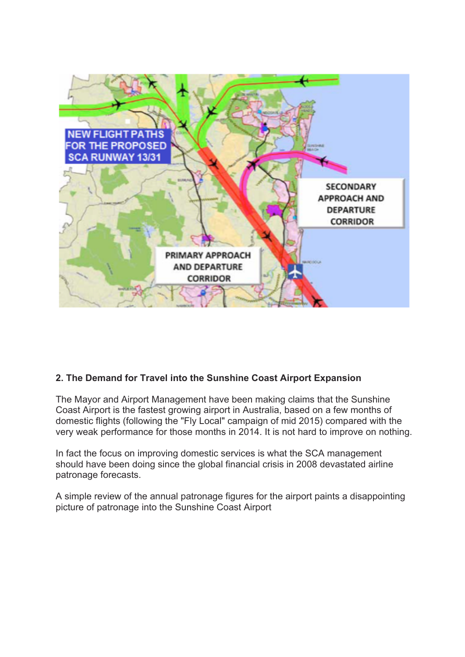

#### **2. The Demand for Travel into the Sunshine Coast Airport Expansion**

The Mayor and Airport Management have been making claims that the Sunshine Coast Airport is the fastest growing airport in Australia, based on a few months of domestic flights (following the "Fly Local" campaign of mid 2015) compared with the very weak performance for those months in 2014. It is not hard to improve on nothing.

In fact the focus on improving domestic services is what the SCA management should have been doing since the global financial crisis in 2008 devastated airline patronage forecasts.

A simple review of the annual patronage figures for the airport paints a disappointing picture of patronage into the Sunshine Coast Airport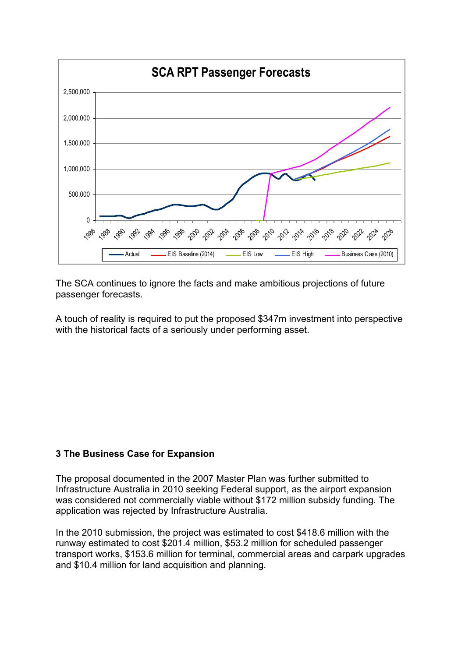

The SCA continues to ignore the facts and make ambitious projections of future passenger forecasts.

A touch of reality is required to put the proposed \$347m investment into perspective with the historical facts of a seriously under performing asset.

#### **3 The Business Case for Expansion**

The proposal documented in the 2007 Master Plan was further submitted to Infrastructure Australia in 2010 seeking Federal support, as the airport expansion was considered not commercially viable without \$172 million subsidy funding. The application was rejected by Infrastructure Australia.

In the 2010 submission, the project was estimated to cost \$418.6 million with the runway estimated to cost \$201.4 million, \$53.2 million for scheduled passenger transport works, \$153.6 million for terminal, commercial areas and carpark upgrades and \$10.4 million for land acquisition and planning.